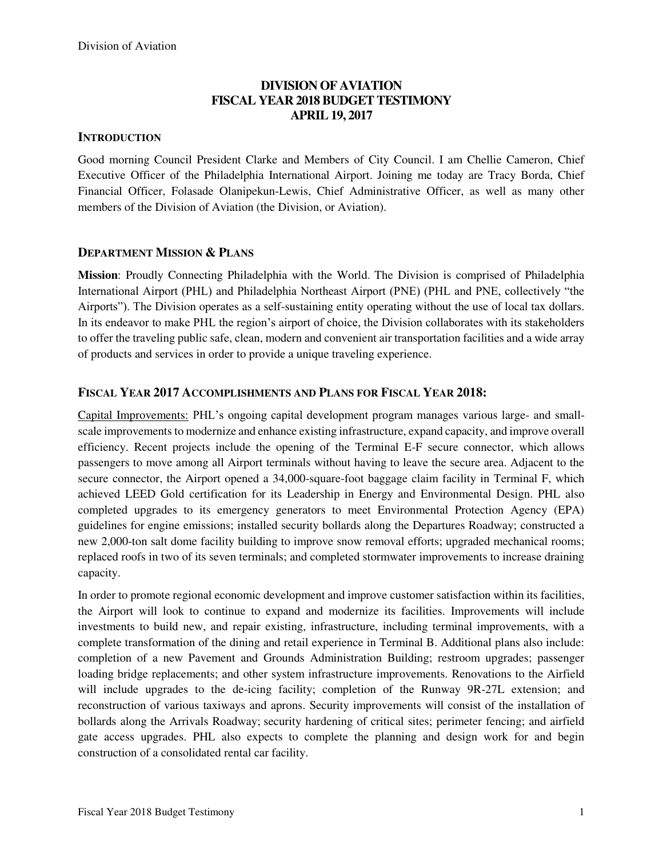# **DIVISION OF AVIATION FISCAL YEAR 2018 BUDGET TESTIMONY APRIL 19, 2017**

## **INTRODUCTION**

Good morning Council President Clarke and Members of City Council. I am Chellie Cameron, Chief Executive Officer of the Philadelphia International Airport. Joining me today are Tracy Borda, Chief Financial Officer, Folasade Olanipekun-Lewis, Chief Administrative Officer, as well as many other members of the Division of Aviation (the Division, or Aviation).

## **DEPARTMENT MISSION & PLANS**

**Mission**: Proudly Connecting Philadelphia with the World. The Division is comprised of Philadelphia International Airport (PHL) and Philadelphia Northeast Airport (PNE) (PHL and PNE, collectively "the Airports"). The Division operates as a self-sustaining entity operating without the use of local tax dollars. In its endeavor to make PHL the region's airport of choice, the Division collaborates with its stakeholders to offer the traveling public safe, clean, modern and convenient air transportation facilities and a wide array of products and services in order to provide a unique traveling experience.

# **FISCAL YEAR 2017 ACCOMPLISHMENTS AND PLANS FOR FISCAL YEAR 2018:**

Capital Improvements: PHL's ongoing capital development program manages various large- and smallscale improvements to modernize and enhance existing infrastructure, expand capacity, and improve overall efficiency. Recent projects include the opening of the Terminal E-F secure connector, which allows passengers to move among all Airport terminals without having to leave the secure area. Adjacent to the secure connector, the Airport opened a 34,000-square-foot baggage claim facility in Terminal F, which achieved LEED Gold certification for its Leadership in Energy and Environmental Design. PHL also completed upgrades to its emergency generators to meet Environmental Protection Agency (EPA) guidelines for engine emissions; installed security bollards along the Departures Roadway; constructed a new 2,000-ton salt dome facility building to improve snow removal efforts; upgraded mechanical rooms; replaced roofs in two of its seven terminals; and completed stormwater improvements to increase draining capacity.

In order to promote regional economic development and improve customer satisfaction within its facilities, the Airport will look to continue to expand and modernize its facilities. Improvements will include investments to build new, and repair existing, infrastructure, including terminal improvements, with a complete transformation of the dining and retail experience in Terminal B. Additional plans also include: completion of a new Pavement and Grounds Administration Building; restroom upgrades; passenger loading bridge replacements; and other system infrastructure improvements. Renovations to the Airfield will include upgrades to the de-icing facility; completion of the Runway 9R-27L extension; and reconstruction of various taxiways and aprons. Security improvements will consist of the installation of bollards along the Arrivals Roadway; security hardening of critical sites; perimeter fencing; and airfield gate access upgrades. PHL also expects to complete the planning and design work for and begin construction of a consolidated rental car facility.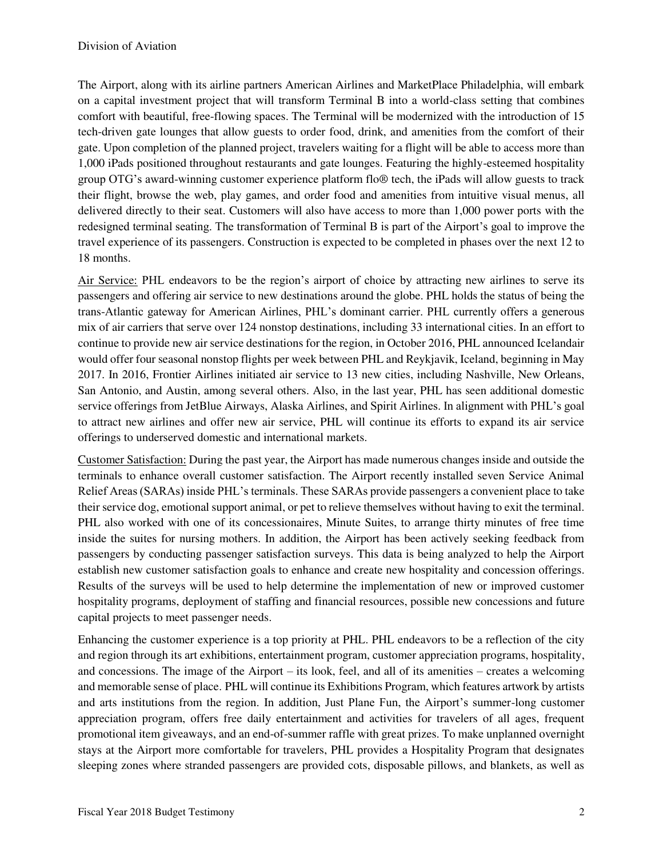The Airport, along with its airline partners American Airlines and MarketPlace Philadelphia, will embark on a capital investment project that will transform Terminal B into a world-class setting that combines comfort with beautiful, free-flowing spaces. The Terminal will be modernized with the introduction of 15 tech-driven gate lounges that allow guests to order food, drink, and amenities from the comfort of their gate. Upon completion of the planned project, travelers waiting for a flight will be able to access more than 1,000 iPads positioned throughout restaurants and gate lounges. Featuring the highly-esteemed hospitality group OTG's award-winning customer experience platform flo® tech, the iPads will allow guests to track their flight, browse the web, play games, and order food and amenities from intuitive visual menus, all delivered directly to their seat. Customers will also have access to more than 1,000 power ports with the redesigned terminal seating. The transformation of Terminal B is part of the Airport's goal to improve the travel experience of its passengers. Construction is expected to be completed in phases over the next 12 to 18 months.

Air Service: PHL endeavors to be the region's airport of choice by attracting new airlines to serve its passengers and offering air service to new destinations around the globe. PHL holds the status of being the trans-Atlantic gateway for American Airlines, PHL's dominant carrier. PHL currently offers a generous mix of air carriers that serve over 124 nonstop destinations, including 33 international cities. In an effort to continue to provide new air service destinations for the region, in October 2016, PHL announced Icelandair would offer four seasonal nonstop flights per week between PHL and Reykjavik, Iceland, beginning in May 2017. In 2016, Frontier Airlines initiated air service to 13 new cities, including Nashville, New Orleans, San Antonio, and Austin, among several others. Also, in the last year, PHL has seen additional domestic service offerings from JetBlue Airways, Alaska Airlines, and Spirit Airlines. In alignment with PHL's goal to attract new airlines and offer new air service, PHL will continue its efforts to expand its air service offerings to underserved domestic and international markets.

Customer Satisfaction: During the past year, the Airport has made numerous changes inside and outside the terminals to enhance overall customer satisfaction. The Airport recently installed seven Service Animal Relief Areas (SARAs) inside PHL's terminals. These SARAs provide passengers a convenient place to take their service dog, emotional support animal, or pet to relieve themselves without having to exit the terminal. PHL also worked with one of its concessionaires, Minute Suites, to arrange thirty minutes of free time inside the suites for nursing mothers. In addition, the Airport has been actively seeking feedback from passengers by conducting passenger satisfaction surveys. This data is being analyzed to help the Airport establish new customer satisfaction goals to enhance and create new hospitality and concession offerings. Results of the surveys will be used to help determine the implementation of new or improved customer hospitality programs, deployment of staffing and financial resources, possible new concessions and future capital projects to meet passenger needs.

Enhancing the customer experience is a top priority at PHL. PHL endeavors to be a reflection of the city and region through its art exhibitions, entertainment program, customer appreciation programs, hospitality, and concessions. The image of the Airport – its look, feel, and all of its amenities – creates a welcoming and memorable sense of place. PHL will continue its Exhibitions Program, which features artwork by artists and arts institutions from the region. In addition, Just Plane Fun, the Airport's summer-long customer appreciation program, offers free daily entertainment and activities for travelers of all ages, frequent promotional item giveaways, and an end-of-summer raffle with great prizes. To make unplanned overnight stays at the Airport more comfortable for travelers, PHL provides a Hospitality Program that designates sleeping zones where stranded passengers are provided cots, disposable pillows, and blankets, as well as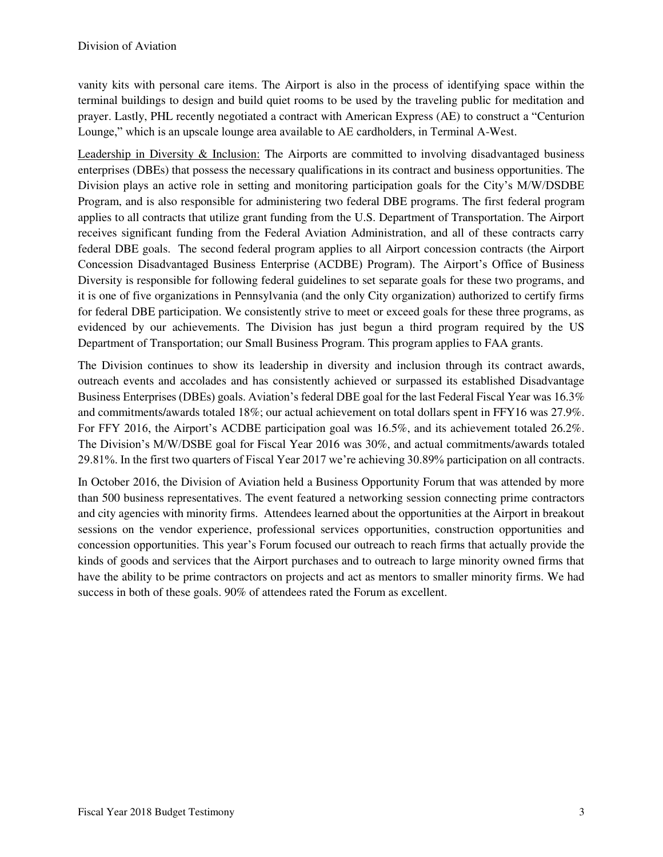vanity kits with personal care items. The Airport is also in the process of identifying space within the terminal buildings to design and build quiet rooms to be used by the traveling public for meditation and prayer. Lastly, PHL recently negotiated a contract with American Express (AE) to construct a "Centurion Lounge," which is an upscale lounge area available to AE cardholders, in Terminal A-West.

Leadership in Diversity & Inclusion: The Airports are committed to involving disadvantaged business enterprises (DBEs) that possess the necessary qualifications in its contract and business opportunities. The Division plays an active role in setting and monitoring participation goals for the City's M/W/DSDBE Program, and is also responsible for administering two federal DBE programs. The first federal program applies to all contracts that utilize grant funding from the U.S. Department of Transportation. The Airport receives significant funding from the Federal Aviation Administration, and all of these contracts carry federal DBE goals. The second federal program applies to all Airport concession contracts (the Airport Concession Disadvantaged Business Enterprise (ACDBE) Program). The Airport's Office of Business Diversity is responsible for following federal guidelines to set separate goals for these two programs, and it is one of five organizations in Pennsylvania (and the only City organization) authorized to certify firms for federal DBE participation. We consistently strive to meet or exceed goals for these three programs, as evidenced by our achievements. The Division has just begun a third program required by the US Department of Transportation; our Small Business Program. This program applies to FAA grants.

The Division continues to show its leadership in diversity and inclusion through its contract awards, outreach events and accolades and has consistently achieved or surpassed its established Disadvantage Business Enterprises (DBEs) goals. Aviation's federal DBE goal for the last Federal Fiscal Year was 16.3% and commitments/awards totaled 18%; our actual achievement on total dollars spent in FFY16 was 27.9%. For FFY 2016, the Airport's ACDBE participation goal was 16.5%, and its achievement totaled 26.2%. The Division's M/W/DSBE goal for Fiscal Year 2016 was 30%, and actual commitments/awards totaled 29.81%. In the first two quarters of Fiscal Year 2017 we're achieving 30.89% participation on all contracts.

In October 2016, the Division of Aviation held a Business Opportunity Forum that was attended by more than 500 business representatives. The event featured a networking session connecting prime contractors and city agencies with minority firms. Attendees learned about the opportunities at the Airport in breakout sessions on the vendor experience, professional services opportunities, construction opportunities and concession opportunities. This year's Forum focused our outreach to reach firms that actually provide the kinds of goods and services that the Airport purchases and to outreach to large minority owned firms that have the ability to be prime contractors on projects and act as mentors to smaller minority firms. We had success in both of these goals. 90% of attendees rated the Forum as excellent.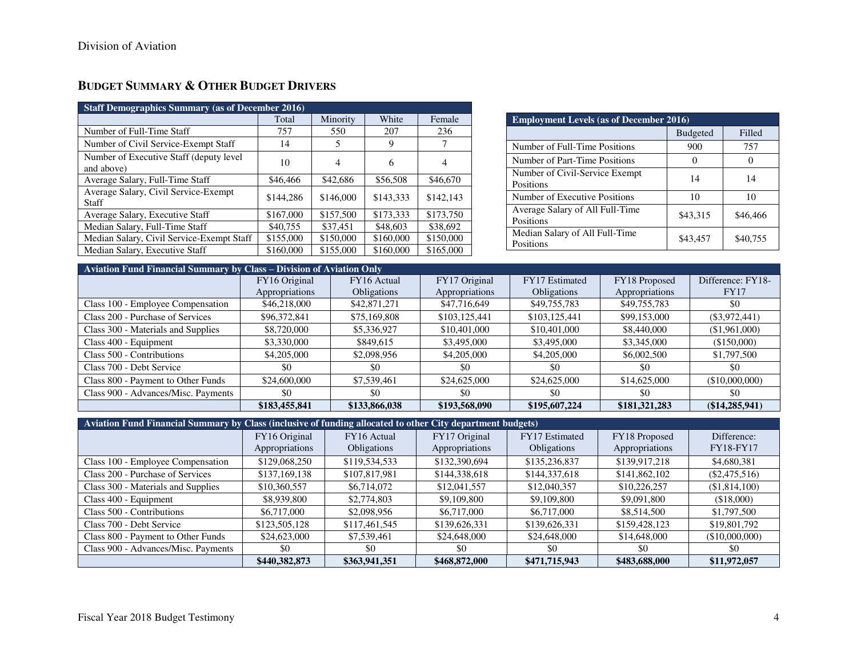# **BUDGET SUMMARY & OTHER BUDGET DRIVERS**

| <b>Staff Demographics Summary (as of December 2016)</b> |           |           |           |           |  |  |  |  |  |  |  |  |  |  |
|---------------------------------------------------------|-----------|-----------|-----------|-----------|--|--|--|--|--|--|--|--|--|--|
| White<br>Minority<br>Female<br>Total                    |           |           |           |           |  |  |  |  |  |  |  |  |  |  |
| Number of Full-Time Staff                               | 757       | 550       | 207       | 236       |  |  |  |  |  |  |  |  |  |  |
| Number of Civil Service-Exempt Staff                    | 14        | 5         | 9         | 7         |  |  |  |  |  |  |  |  |  |  |
| Number of Executive Staff (deputy level<br>and above)   | 10        | 4         | 6         | 4         |  |  |  |  |  |  |  |  |  |  |
| Average Salary, Full-Time Staff                         | \$46,466  | \$42,686  | \$56,508  | \$46,670  |  |  |  |  |  |  |  |  |  |  |
| Average Salary, Civil Service-Exempt<br>Staff           | \$144.286 | \$146,000 | \$143,333 | \$142,143 |  |  |  |  |  |  |  |  |  |  |
| Average Salary, Executive Staff                         | \$167,000 | \$157,500 | \$173,333 | \$173,750 |  |  |  |  |  |  |  |  |  |  |
| Median Salary, Full-Time Staff                          | \$40,755  | \$37,451  | \$48,603  | \$38,692  |  |  |  |  |  |  |  |  |  |  |
| Median Salary, Civil Service-Exempt Staff               | \$155,000 | \$150,000 | \$160,000 | \$150,000 |  |  |  |  |  |  |  |  |  |  |
| Median Salary, Executive Staff                          | \$160,000 | \$155,000 | \$160,000 | \$165,000 |  |  |  |  |  |  |  |  |  |  |

| <b>Employment Levels (as of December 2016)</b>     |                 |          |
|----------------------------------------------------|-----------------|----------|
|                                                    | <b>Budgeted</b> | Filled   |
| Number of Full-Time Positions                      | 900             | 757      |
| Number of Part-Time Positions                      |                 |          |
| Number of Civil-Service Exempt<br><b>Positions</b> | 14              | 14       |
| Number of Executive Positions                      | 10              | 10       |
| Average Salary of All Full-Time<br>Positions       | \$43,315        | \$46,466 |
| Median Salary of All Full-Time<br>Positions        | \$43,457        | \$40,755 |

| Aviation Fund Financial Summary by Class – Division of Aviation Only |                |                    |                |                    |                |                   |
|----------------------------------------------------------------------|----------------|--------------------|----------------|--------------------|----------------|-------------------|
|                                                                      | FY16 Original  | FY16 Actual        | FY17 Original  | FY17 Estimated     | FY18 Proposed  | Difference: FY18- |
|                                                                      | Appropriations | <b>Obligations</b> | Appropriations | <b>Obligations</b> | Appropriations | <b>FY17</b>       |
| Class 100 - Employee Compensation                                    | \$46,218,000   | \$42,871,271       | \$47,716,649   | \$49,755,783       | \$49,755,783   | \$0               |
| Class 200 - Purchase of Services                                     | \$96,372,841   | \$75,169,808       | \$103,125,441  | \$103,125,441      | \$99,153,000   | $(\$3,972,441)$   |
| Class 300 - Materials and Supplies                                   | \$8,720,000    | \$5,336,927        | \$10,401,000   | \$10,401,000       | \$8,440,000    | (\$1,961,000)     |
| Class 400 - Equipment                                                | \$3,330,000    | \$849,615          | \$3,495,000    | \$3,495,000        | \$3,345,000    | (\$150,000)       |
| Class 500 - Contributions                                            | \$4,205,000    | \$2,098,956        | \$4,205,000    | \$4,205,000        | \$6,002,500    | \$1,797,500       |
| Class 700 - Debt Service                                             | \$0            | \$0                | \$0            | \$0                | \$0            | \$0               |
| Class 800 - Payment to Other Funds                                   | \$24,600,000   | \$7,539,461        | \$24,625,000   | \$24,625,000       | \$14,625,000   | (\$10,000,000)    |
| Class 900 - Advances/Misc. Payments                                  | \$0            | \$0                | \$0            | \$0                | \$0            | \$0               |
|                                                                      | \$183,455,841  | \$133,866,038      | \$193,568,090  | \$195,607,224      | \$181,321,283  | (\$14,285,941)    |

| Aviation Fund Financial Summary by Class (inclusive of funding allocated to other City department budgets) |                |                    |                |                       |                |                  |
|------------------------------------------------------------------------------------------------------------|----------------|--------------------|----------------|-----------------------|----------------|------------------|
|                                                                                                            | FY16 Original  | FY16 Actual        | FY17 Original  | <b>FY17</b> Estimated | FY18 Proposed  | Difference:      |
|                                                                                                            | Appropriations | <b>Obligations</b> | Appropriations | <b>Obligations</b>    | Appropriations | <b>FY18-FY17</b> |
| Class 100 - Employee Compensation                                                                          | \$129,068,250  | \$119,534,533      | \$132,390,694  | \$135,236,837         | \$139,917,218  | \$4,680,381      |
| Class 200 - Purchase of Services                                                                           | \$137,169,138  | \$107,817,981      | \$144,338,618  | \$144,337,618         | \$141,862,102  | $(\$2,475,516)$  |
| Class 300 - Materials and Supplies                                                                         | \$10,360,557   | \$6,714,072        | \$12,041,557   | \$12,040,357          | \$10,226,257   | (\$1,814,100)    |
| Class 400 - Equipment                                                                                      | \$8,939,800    | \$2,774,803        | \$9,109,800    | \$9,109,800           | \$9,091,800    | (\$18,000)       |
| Class 500 - Contributions                                                                                  | \$6,717,000    | \$2,098,956        | \$6,717,000    | \$6,717,000           | \$8,514,500    | \$1,797,500      |
| Class 700 - Debt Service                                                                                   | \$123,505,128  | \$117,461,545      | \$139,626,331  | \$139,626,331         | \$159,428,123  | \$19,801,792     |
| Class 800 - Payment to Other Funds                                                                         | \$24,623,000   | \$7,539,461        | \$24,648,000   | \$24,648,000          | \$14,648,000   | (\$10,000,000)   |
| Class 900 - Advances/Misc. Payments                                                                        | \$0            | -\$0               | \$0            | \$0                   | -\$0           | \$0              |
|                                                                                                            | \$440,382,873  | \$363,941,351      | \$468,872,000  | \$471,715,943         | \$483,688,000  | \$11,972,057     |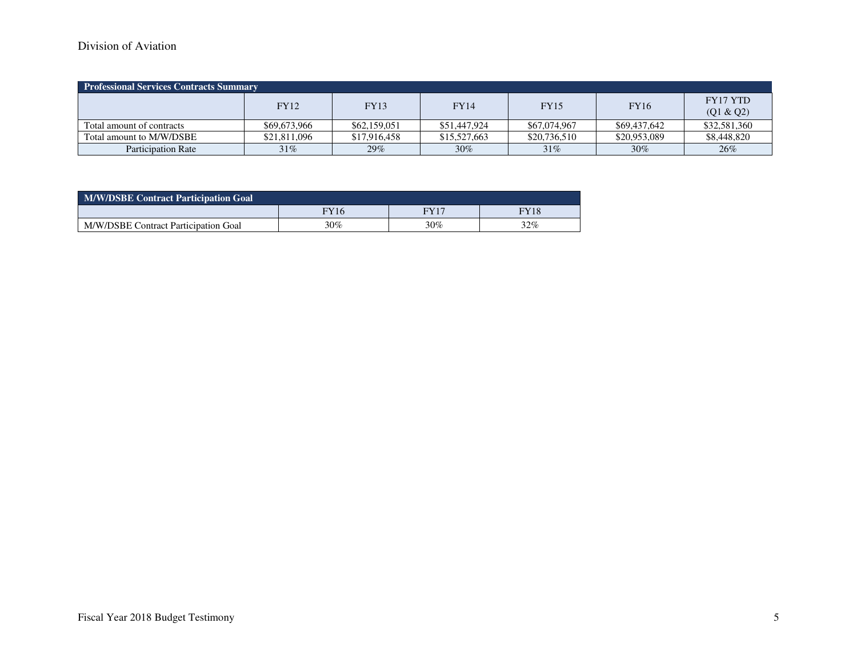# Division of Aviation

| <b>Professional Services Contracts Summary</b> |              |              |              |              |              |                       |  |  |  |  |  |  |  |
|------------------------------------------------|--------------|--------------|--------------|--------------|--------------|-----------------------|--|--|--|--|--|--|--|
|                                                | <b>FY12</b>  | <b>FY13</b>  | <b>FY14</b>  | <b>FY15</b>  | <b>FY16</b>  | FY17 YTD<br>(Q1 & Q2) |  |  |  |  |  |  |  |
| Total amount of contracts                      | \$69,673,966 | \$62,159,051 | \$51,447,924 | \$67,074,967 | \$69,437,642 | \$32,581,360          |  |  |  |  |  |  |  |
| Total amount to M/W/DSBE                       | \$21,811,096 | \$17,916,458 | \$15,527,663 | \$20,736,510 | \$20,953,089 | \$8,448,820           |  |  |  |  |  |  |  |
| <b>Participation Rate</b>                      | 31%          | 29%          | $30\%$       | $31\%$       | $30\%$       | 26%                   |  |  |  |  |  |  |  |

| <b>M/W/DSBE Contract Participation Goal</b> |             |        |        |  |  |  |  |  |  |  |  |
|---------------------------------------------|-------------|--------|--------|--|--|--|--|--|--|--|--|
|                                             | <b>FY16</b> | FV17   | FY18   |  |  |  |  |  |  |  |  |
| M/W/DSBE Contract Participation Goal        | 30%         | $30\%$ | $32\%$ |  |  |  |  |  |  |  |  |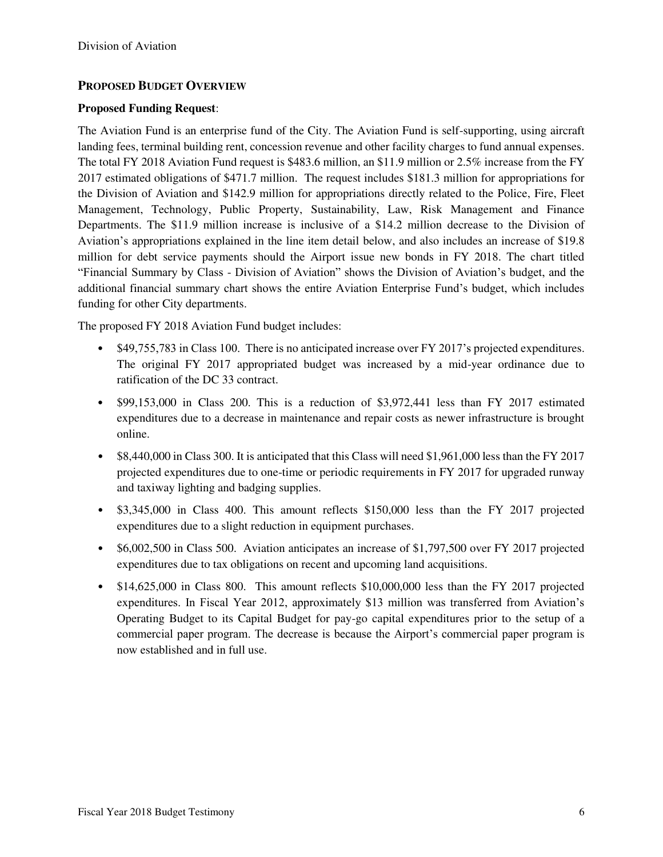## **PROPOSED BUDGET OVERVIEW**

### **Proposed Funding Request**:

The Aviation Fund is an enterprise fund of the City. The Aviation Fund is self-supporting, using aircraft landing fees, terminal building rent, concession revenue and other facility charges to fund annual expenses. The total FY 2018 Aviation Fund request is \$483.6 million, an \$11.9 million or 2.5% increase from the FY 2017 estimated obligations of \$471.7 million. The request includes \$181.3 million for appropriations for the Division of Aviation and \$142.9 million for appropriations directly related to the Police, Fire, Fleet Management, Technology, Public Property, Sustainability, Law, Risk Management and Finance Departments. The \$11.9 million increase is inclusive of a \$14.2 million decrease to the Division of Aviation's appropriations explained in the line item detail below, and also includes an increase of \$19.8 million for debt service payments should the Airport issue new bonds in FY 2018. The chart titled "Financial Summary by Class - Division of Aviation" shows the Division of Aviation's budget, and the additional financial summary chart shows the entire Aviation Enterprise Fund's budget, which includes funding for other City departments.

The proposed FY 2018 Aviation Fund budget includes:

- \$49,755,783 in Class 100. There is no anticipated increase over FY 2017's projected expenditures. The original FY 2017 appropriated budget was increased by a mid-year ordinance due to ratification of the DC 33 contract.
- \$99,153,000 in Class 200. This is a reduction of \$3,972,441 less than FY 2017 estimated expenditures due to a decrease in maintenance and repair costs as newer infrastructure is brought online.
- \$8,440,000 in Class 300. It is anticipated that this Class will need \$1,961,000 less than the FY 2017 projected expenditures due to one-time or periodic requirements in FY 2017 for upgraded runway and taxiway lighting and badging supplies.
- \$3,345,000 in Class 400. This amount reflects \$150,000 less than the FY 2017 projected expenditures due to a slight reduction in equipment purchases.
- \$6,002,500 in Class 500. Aviation anticipates an increase of \$1,797,500 over FY 2017 projected expenditures due to tax obligations on recent and upcoming land acquisitions.
- \$14,625,000 in Class 800. This amount reflects \$10,000,000 less than the FY 2017 projected expenditures. In Fiscal Year 2012, approximately \$13 million was transferred from Aviation's Operating Budget to its Capital Budget for pay-go capital expenditures prior to the setup of a commercial paper program. The decrease is because the Airport's commercial paper program is now established and in full use.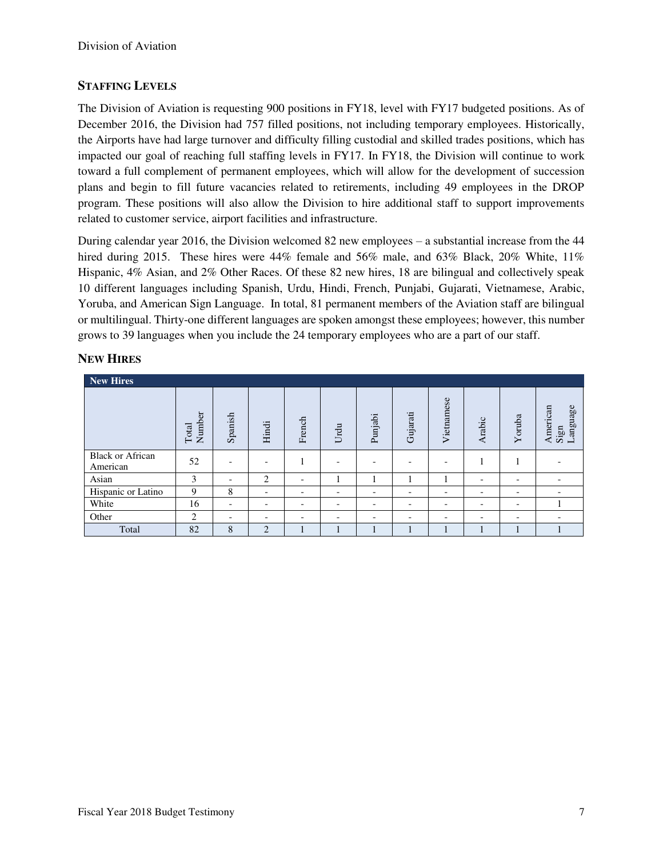## **STAFFING LEVELS**

The Division of Aviation is requesting 900 positions in FY18, level with FY17 budgeted positions. As of December 2016, the Division had 757 filled positions, not including temporary employees. Historically, the Airports have had large turnover and difficulty filling custodial and skilled trades positions, which has impacted our goal of reaching full staffing levels in FY17. In FY18, the Division will continue to work toward a full complement of permanent employees, which will allow for the development of succession plans and begin to fill future vacancies related to retirements, including 49 employees in the DROP program. These positions will also allow the Division to hire additional staff to support improvements related to customer service, airport facilities and infrastructure.

During calendar year 2016, the Division welcomed 82 new employees – a substantial increase from the 44 hired during 2015. These hires were 44% female and 56% male, and 63% Black, 20% White, 11% Hispanic, 4% Asian, and 2% Other Races. Of these 82 new hires, 18 are bilingual and collectively speak 10 different languages including Spanish, Urdu, Hindi, French, Punjabi, Gujarati, Vietnamese, Arabic, Yoruba, and American Sign Language. In total, 81 permanent members of the Aviation staff are bilingual or multilingual. Thirty-one different languages are spoken amongst these employees; however, this number grows to 39 languages when you include the 24 temporary employees who are a part of our staff.

### **NEW HIRES**

| <b>New Hires</b>                    |                 |                          |                          |                          |                          |                          |                          |                          |                          |                          |                              |
|-------------------------------------|-----------------|--------------------------|--------------------------|--------------------------|--------------------------|--------------------------|--------------------------|--------------------------|--------------------------|--------------------------|------------------------------|
|                                     | Number<br>Total | Spanish                  | Hindi                    | French                   | Urdu                     | Punjabi                  | Gujarati                 | Vietnamese               | Arabic                   | Yoruba                   | Language<br>American<br>Sign |
| <b>Black or African</b><br>American | 52              |                          | $\overline{\phantom{a}}$ | H                        |                          | $\overline{\phantom{0}}$ | $\overline{\phantom{0}}$ |                          |                          |                          |                              |
| Asian                               | 3               | $\overline{\phantom{0}}$ | 2                        | $\overline{\phantom{a}}$ |                          |                          |                          |                          | $\overline{\phantom{0}}$ | $\overline{\phantom{0}}$ |                              |
| Hispanic or Latino                  | 9               | 8                        | $\overline{\phantom{0}}$ | $\overline{\phantom{a}}$ | $\overline{\phantom{a}}$ | -                        | $\overline{\phantom{0}}$ | $\overline{\phantom{a}}$ | $\overline{\phantom{0}}$ | $\overline{\phantom{0}}$ |                              |
| White                               | 16              | $\overline{\phantom{0}}$ | $\overline{\phantom{a}}$ | $\overline{\phantom{a}}$ | $\overline{\phantom{a}}$ | -                        | $\overline{\phantom{0}}$ | $\overline{\phantom{0}}$ | $\overline{\phantom{a}}$ | $\overline{\phantom{0}}$ |                              |
| Other                               | 2               | $\overline{\phantom{0}}$ | $\overline{\phantom{a}}$ | $\overline{\phantom{0}}$ | $\overline{\phantom{a}}$ | $\overline{\phantom{0}}$ | $\overline{\phantom{0}}$ | $\overline{\phantom{0}}$ | $\overline{\phantom{0}}$ | $\overline{\phantom{0}}$ | $\overline{\phantom{0}}$     |
| Total                               | 82              | 8                        | $\overline{2}$           |                          |                          |                          |                          |                          | л                        |                          |                              |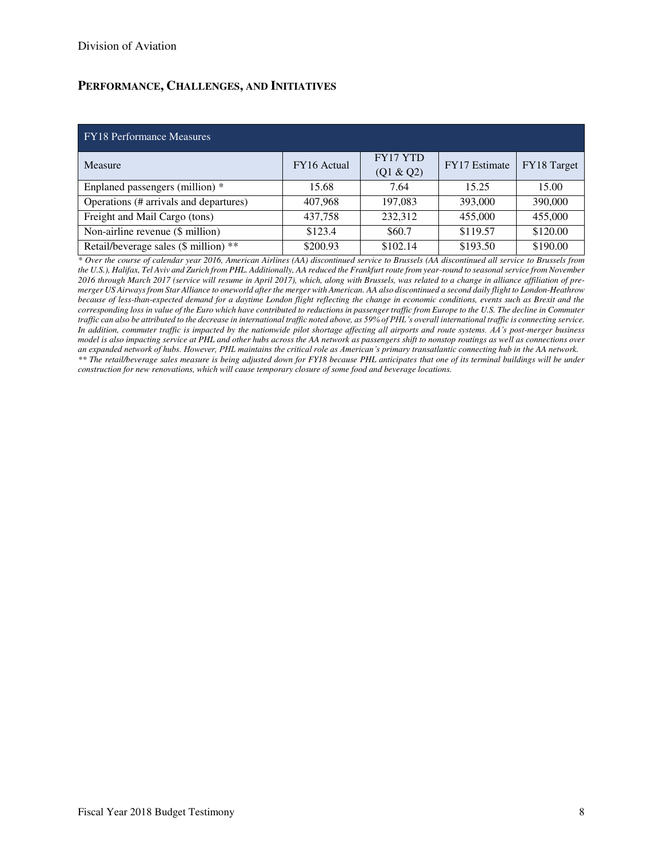# **PERFORMANCE, CHALLENGES, AND INITIATIVES**

#### FY18 Performance Measures

| Measure                                | FY16 Actual | <b>FY17 YTD</b><br>(Q1 & Q2) | FY17 Estimate | FY18 Target |
|----------------------------------------|-------------|------------------------------|---------------|-------------|
| Enplaned passengers (million) *        | 15.68       | 7.64                         | 15.25         | 15.00       |
| Operations (# arrivals and departures) | 407,968     | 197,083                      | 393,000       | 390,000     |
| Freight and Mail Cargo (tons)          | 437,758     | 232,312                      | 455,000       | 455,000     |
| Non-airline revenue (\$ million)       | \$123.4     | \$60.7                       | \$119.57      | \$120.00    |
| Retail/beverage sales (\$ million) **  | \$200.93    | \$102.14                     | \$193.50      | \$190.00    |

*\* Over the course of calendar year 2016, American Airlines (AA) discontinued service to Brussels (AA discontinued all service to Brussels from the U.S.), Halifax, Tel Aviv and Zurich from PHL. Additionally, AA reduced the Frankfurt route from year-round to seasonal service from November 2016 through March 2017 (service will resume in April 2017), which, along with Brussels, was related to a change in alliance affiliation of premerger US Airways from Star Alliance to oneworld after the merger with American. AA also discontinued a second daily flight to London-Heathrow because of less-than-expected demand for a daytime London flight reflecting the change in economic conditions, events such as Brexit and the corresponding loss in value of the Euro which have contributed to reductions in passenger traffic from Europe to the U.S. The decline in Commuter traffic can also be attributed to the decrease in international traffic noted above, as 59% of PHL's overall international traffic is connecting service. In addition, commuter traffic is impacted by the nationwide pilot shortage affecting all airports and route systems. AA's post-merger business model is also impacting service at PHL and other hubs across the AA network as passengers shift to nonstop routings as well as connections over an expanded network of hubs. However, PHL maintains the critical role as American's primary transatlantic connecting hub in the AA network. \*\* The retail/beverage sales measure is being adjusted down for FY18 because PHL anticipates that one of its terminal buildings will be under construction for new renovations, which will cause temporary closure of some food and beverage locations.*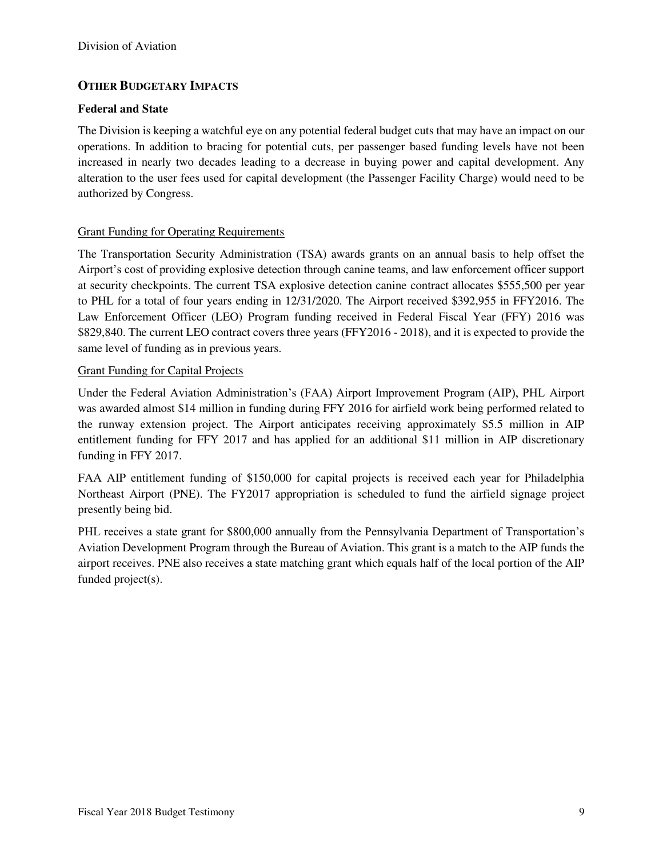### **OTHER BUDGETARY IMPACTS**

#### **Federal and State**

The Division is keeping a watchful eye on any potential federal budget cuts that may have an impact on our operations. In addition to bracing for potential cuts, per passenger based funding levels have not been increased in nearly two decades leading to a decrease in buying power and capital development. Any alteration to the user fees used for capital development (the Passenger Facility Charge) would need to be authorized by Congress.

### Grant Funding for Operating Requirements

The Transportation Security Administration (TSA) awards grants on an annual basis to help offset the Airport's cost of providing explosive detection through canine teams, and law enforcement officer support at security checkpoints. The current TSA explosive detection canine contract allocates \$555,500 per year to PHL for a total of four years ending in 12/31/2020. The Airport received \$392,955 in FFY2016. The Law Enforcement Officer (LEO) Program funding received in Federal Fiscal Year (FFY) 2016 was \$829,840. The current LEO contract covers three years (FFY2016 - 2018), and it is expected to provide the same level of funding as in previous years.

### Grant Funding for Capital Projects

Under the Federal Aviation Administration's (FAA) Airport Improvement Program (AIP), PHL Airport was awarded almost \$14 million in funding during FFY 2016 for airfield work being performed related to the runway extension project. The Airport anticipates receiving approximately \$5.5 million in AIP entitlement funding for FFY 2017 and has applied for an additional \$11 million in AIP discretionary funding in FFY 2017.

FAA AIP entitlement funding of \$150,000 for capital projects is received each year for Philadelphia Northeast Airport (PNE). The FY2017 appropriation is scheduled to fund the airfield signage project presently being bid.

PHL receives a state grant for \$800,000 annually from the Pennsylvania Department of Transportation's Aviation Development Program through the Bureau of Aviation. This grant is a match to the AIP funds the airport receives. PNE also receives a state matching grant which equals half of the local portion of the AIP funded project(s).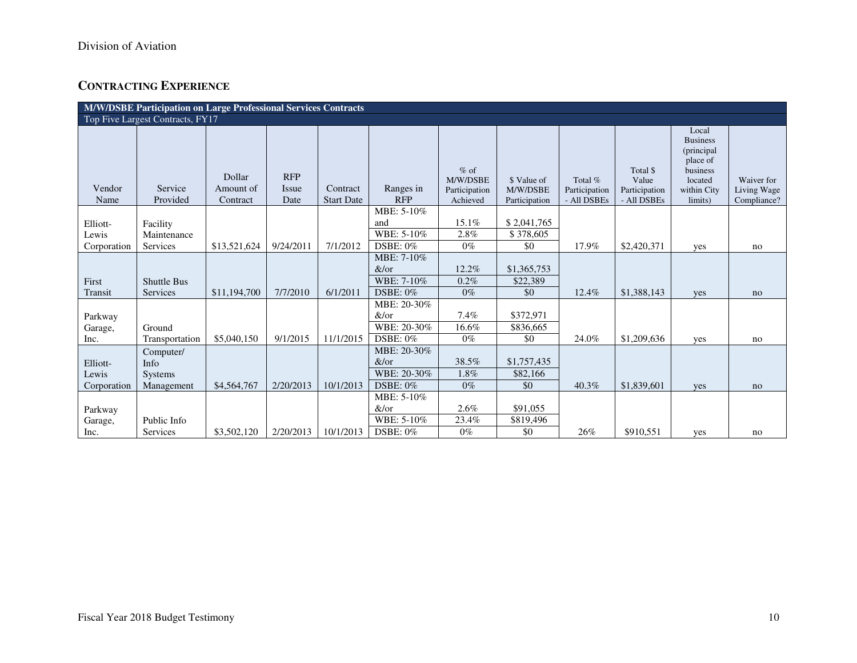# **CONTRACTING EXPERIENCE**

|                                  | M/W/DSBE Participation on Large Professional Services Contracts<br>Top Five Largest Contracts, FY17 |                                 |                             |                               |                                                       |                                                 |                                          |                                         |                                                   |                                                                                                     |                                          |  |  |  |
|----------------------------------|-----------------------------------------------------------------------------------------------------|---------------------------------|-----------------------------|-------------------------------|-------------------------------------------------------|-------------------------------------------------|------------------------------------------|-----------------------------------------|---------------------------------------------------|-----------------------------------------------------------------------------------------------------|------------------------------------------|--|--|--|
|                                  |                                                                                                     |                                 |                             |                               |                                                       |                                                 |                                          |                                         |                                                   |                                                                                                     |                                          |  |  |  |
| Vendor<br>Name                   | Service<br>Provided                                                                                 | Dollar<br>Amount of<br>Contract | <b>RFP</b><br>Issue<br>Date | Contract<br><b>Start Date</b> | Ranges in<br><b>RFP</b>                               | $%$ of<br>M/W/DSBE<br>Participation<br>Achieved | \$ Value of<br>M/W/DSBE<br>Participation | Total %<br>Participation<br>- All DSBEs | Total \$<br>Value<br>Participation<br>- All DSBEs | Local<br><b>Business</b><br>(principal<br>place of<br>business<br>located<br>within City<br>limits) | Waiver for<br>Living Wage<br>Compliance? |  |  |  |
| Elliott-<br>Lewis<br>Corporation | Facility<br>Maintenance<br>Services                                                                 | \$13,521,624                    | 9/24/2011                   | 7/1/2012                      | MBE: 5-10%<br>and<br>WBE: 5-10%<br><b>DSBE: 0%</b>    | 15.1%<br>2.8%<br>$0\%$                          | \$2,041,765<br>\$378,605<br>\$0          | 17.9%                                   | \$2,420,371                                       | yes                                                                                                 | no                                       |  |  |  |
| First<br>Transit                 | <b>Shuttle Bus</b><br>Services                                                                      | \$11,194,700                    | 7/7/2010                    | 6/1/2011                      | MBE: 7-10%<br>&/or<br>WBE: 7-10%<br>DSBE: 0%          | 12.2%<br>0.2%<br>$0\%$                          | \$1,365,753<br>\$22,389<br>\$0           | 12.4%                                   | \$1,388,143                                       | yes                                                                                                 | no                                       |  |  |  |
| Parkway<br>Garage,<br>Inc.       | Ground<br>Transportation                                                                            | \$5,040,150                     | 9/1/2015                    | 11/1/2015                     | MBE: 20-30%<br>&/or<br>WBE: 20-30%<br><b>DSBE: 0%</b> | 7.4%<br>16.6%<br>$0\%$                          | \$372,971<br>\$836,665<br>\$0            | 24.0%                                   | \$1,209,636                                       | yes                                                                                                 | no                                       |  |  |  |
| Elliott-<br>Lewis<br>Corporation | Computer/<br>Info<br><b>Systems</b><br>Management                                                   | \$4,564,767                     | 2/20/2013                   | 10/1/2013                     | MBE: 20-30%<br>&/or<br>WBE: 20-30%<br>$DSBE: 0\%$     | 38.5%<br>1.8%<br>$0\%$                          | \$1,757,435<br>\$82,166<br>\$0           | 40.3%                                   | \$1,839,601                                       | yes                                                                                                 | no                                       |  |  |  |
| Parkway<br>Garage,<br>Inc.       | Public Info<br>Services                                                                             | \$3,502,120                     | 2/20/2013                   | 10/1/2013                     | MBE: 5-10%<br>&/or<br>WBE: 5-10%<br>$DSBE: 0\%$       | 2.6%<br>23.4%<br>$0\%$                          | \$91,055<br>\$819,496<br>\$0             | 26%                                     | \$910,551                                         | yes                                                                                                 | no                                       |  |  |  |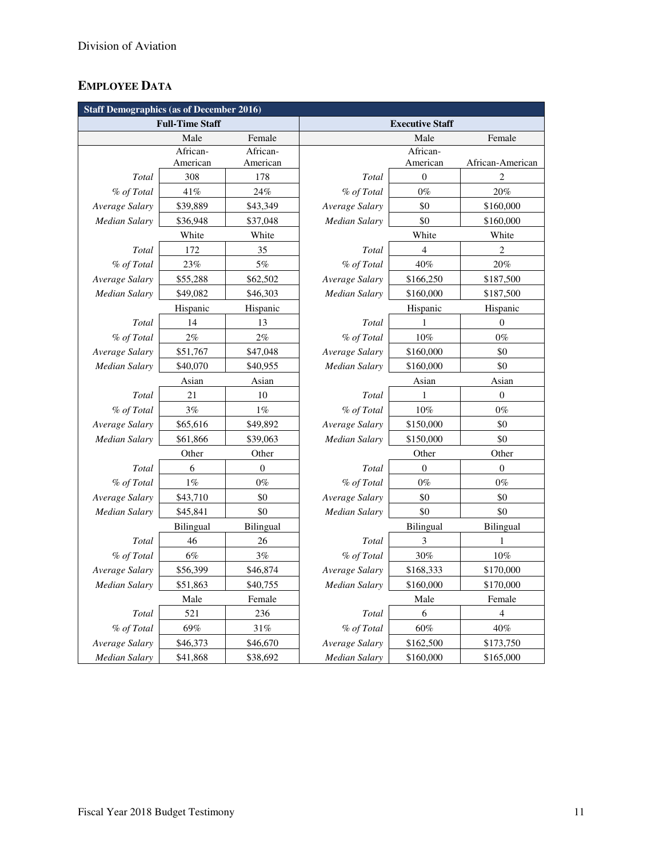# **EMPLOYEE DATA**

| <b>Staff Demographics (as of December 2016)</b> |                        |                  |                      |                        |                  |  |  |  |  |
|-------------------------------------------------|------------------------|------------------|----------------------|------------------------|------------------|--|--|--|--|
|                                                 | <b>Full-Time Staff</b> |                  |                      | <b>Executive Staff</b> |                  |  |  |  |  |
|                                                 | Male                   | Female           |                      | Male                   | Female           |  |  |  |  |
|                                                 | African-               | African-         |                      | African-               |                  |  |  |  |  |
|                                                 | American               | American         |                      | American               | African-American |  |  |  |  |
| Total                                           | 308                    | 178              | Total                | $\boldsymbol{0}$       | 2                |  |  |  |  |
| % of Total                                      | 41%                    | 24%              | % of Total           | $0\%$                  | 20%              |  |  |  |  |
| Average Salary                                  | \$39,889               | \$43,349         | Average Salary       | \$0                    | \$160,000        |  |  |  |  |
| Median Salary                                   | \$36,948               | \$37,048         | Median Salary        | \$0                    | \$160,000        |  |  |  |  |
|                                                 | White                  | White            |                      | White                  | White            |  |  |  |  |
| Total                                           | 172                    | 35               | Total                | $\overline{4}$         | $\overline{2}$   |  |  |  |  |
| % of Total                                      | 23%                    | 5%               | % of Total           | 40%                    | $20\%$           |  |  |  |  |
| Average Salary                                  | \$55,288               | \$62,502         | Average Salary       | \$166,250              | \$187,500        |  |  |  |  |
| Median Salary                                   | \$49,082               | \$46,303         | <b>Median Salary</b> | \$160,000              | \$187,500        |  |  |  |  |
|                                                 | Hispanic               | Hispanic         |                      | Hispanic               | Hispanic         |  |  |  |  |
| Total                                           | 14                     | 13               | Total                | 1                      | $\mathbf{0}$     |  |  |  |  |
| % of Total                                      | 2%                     | 2%               | % of Total           | 10%                    | $0\%$            |  |  |  |  |
| Average Salary                                  | \$51,767               | \$47,048         | Average Salary       | \$160,000              | \$0              |  |  |  |  |
| <b>Median Salary</b>                            | \$40,070               | \$40,955         | Median Salary        | \$160,000              | \$0              |  |  |  |  |
|                                                 | Asian                  | Asian            |                      | Asian                  | Asian            |  |  |  |  |
| Total                                           | 21                     | 10               | Total                | 1                      | $\boldsymbol{0}$ |  |  |  |  |
| % of Total                                      | 3%                     | $1\%$            | % of Total           | 10%                    | $0\%$            |  |  |  |  |
| Average Salary                                  | \$65,616               | \$49,892         | Average Salary       | \$150,000              | \$0              |  |  |  |  |
| Median Salary                                   | \$61,866               | \$39,063         | Median Salary        | \$150,000              | \$0              |  |  |  |  |
|                                                 | Other                  | Other            |                      | Other                  | Other            |  |  |  |  |
| Total                                           | 6                      | $\boldsymbol{0}$ | Total                | $\overline{0}$         | $\overline{0}$   |  |  |  |  |
| % of Total                                      | 1%                     | $0\%$            | % of Total           | $0\%$                  | $0\%$            |  |  |  |  |
| Average Salary                                  | \$43,710               | \$0              | Average Salary       | \$0                    | \$0              |  |  |  |  |
| <b>Median Salary</b>                            | \$45,841               | \$0              | Median Salary        | \$0                    | \$0              |  |  |  |  |
|                                                 | <b>Bilingual</b>       | Bilingual        |                      | Bilingual              | Bilingual        |  |  |  |  |
| Total                                           | 46                     | 26               | Total                | 3                      | 1                |  |  |  |  |
| % of Total                                      | 6%                     | 3%               | % of Total           | 30%                    | 10%              |  |  |  |  |
| Average Salary                                  | \$56,399               | \$46,874         | Average Salary       | \$168,333              | \$170,000        |  |  |  |  |
| Median Salary                                   | \$51,863<br>\$40,755   |                  | Median Salary        | \$160,000              | \$170,000        |  |  |  |  |
|                                                 | Male<br>Female         |                  |                      | Male                   | Female           |  |  |  |  |
| Total                                           | 521<br>236             |                  | Total                | 6                      | 4                |  |  |  |  |
| % of Total                                      | 69%<br>31%             |                  | % of Total           | 60%                    | 40%              |  |  |  |  |
| Average Salary                                  | \$46,373               | \$46,670         | Average Salary       | \$162,500              | \$173,750        |  |  |  |  |
| <b>Median Salary</b>                            | \$41,868               | \$38,692         | Median Salary        | \$160,000              | \$165,000        |  |  |  |  |